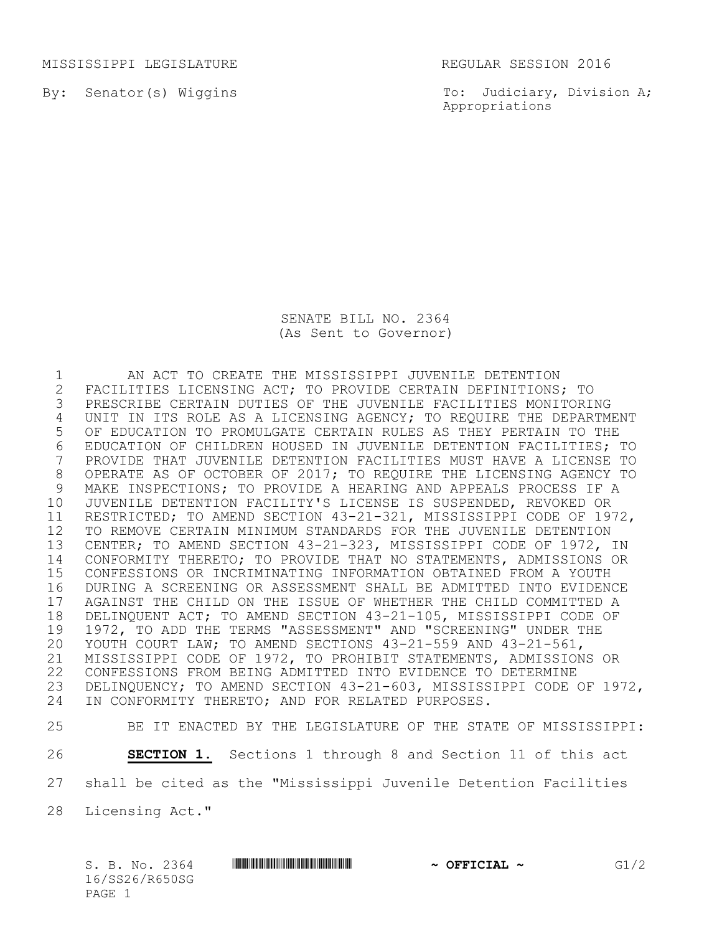MISSISSIPPI LEGISLATURE REGULAR SESSION 2016

By: Senator(s) Wiggins

To: Judiciary, Division A; Appropriations

SENATE BILL NO. 2364 (As Sent to Governor)

1 AN ACT TO CREATE THE MISSISSIPPI JUVENILE DETENTION<br>2 FACILITIES LICENSING ACT; TO PROVIDE CERTAIN DEFINITIONS, 2 FACILITIES LICENSING ACT; TO PROVIDE CERTAIN DEFINITIONS; TO<br>3 PRESCRIBE CERTAIN DUTIES OF THE JUVENILE FACILITIES MONITORII PRESCRIBE CERTAIN DUTIES OF THE JUVENILE FACILITIES MONITORING UNIT IN ITS ROLE AS A LICENSING AGENCY; TO REQUIRE THE DEPARTMENT OF EDUCATION TO PROMULGATE CERTAIN RULES AS THEY PERTAIN TO THE 6 EDUCATION OF CHILDREN HOUSED IN JUVENILE DETENTION FACILITIES; TO<br>7 PROVIDE THAT JUVENILE DETENTION FACILITIES MUST HAVE A LICENSE TO PROVIDE THAT JUVENILE DETENTION FACILITIES MUST HAVE A LICENSE TO OPERATE AS OF OCTOBER OF 2017; TO REQUIRE THE LICENSING AGENCY TO MAKE INSPECTIONS; TO PROVIDE A HEARING AND APPEALS PROCESS IF A JUVENILE DETENTION FACILITY'S LICENSE IS SUSPENDED, REVOKED OR RESTRICTED; TO AMEND SECTION 43-21-321, MISSISSIPPI CODE OF 1972, TO REMOVE CERTAIN MINIMUM STANDARDS FOR THE JUVENILE DETENTION CENTER; TO AMEND SECTION 43-21-323, MISSISSIPPI CODE OF 1972, IN CONFORMITY THERETO; TO PROVIDE THAT NO STATEMENTS, ADMISSIONS OR CONFESSIONS OR INCRIMINATING INFORMATION OBTAINED FROM A YOUTH DURING A SCREENING OR ASSESSMENT SHALL BE ADMITTED INTO EVIDENCE 17 AGAINST THE CHILD ON THE ISSUE OF WHETHER THE CHILD COMMITTED A<br>18 DELINQUENT ACT; TO AMEND SECTION 43-21-105, MISSISSIPPI CODE OF 18 DELINQUENT ACT; TO AMEND SECTION 43-21-105, MISSISSIPPI CODE OF<br>19 1972, TO ADD THE TERMS "ASSESSMENT" AND "SCREENING" UNDER THE 19 1972, TO ADD THE TERMS "ASSESSMENT" AND "SCREENING" UNDER THE<br>20 YOUTH COURT LAW: TO AMEND SECTIONS 43-21-559 AND 43-21-561. YOUTH COURT LAW; TO AMEND SECTIONS 43-21-559 AND 43-21-561, MISSISSIPPI CODE OF 1972, TO PROHIBIT STATEMENTS, ADMISSIONS OR CONFESSIONS FROM BEING ADMITTED INTO EVIDENCE TO DETERMINE DELINQUENCY; TO AMEND SECTION 43-21-603, MISSISSIPPI CODE OF 1972, IN CONFORMITY THERETO; AND FOR RELATED PURPOSES.

25 BE IT ENACTED BY THE LEGISLATURE OF THE STATE OF MISSISSIPPI:

26 **SECTION 1.** Sections 1 through 8 and Section 11 of this act 27 shall be cited as the "Mississippi Juvenile Detention Facilities

28 Licensing Act."

S. B. No. 2364 **\*\*\* A SECONDEM** \*\*\* *G1/2* **\*\*\* OFFICIAL \*\*\* \*\*\* 651/2** 16/SS26/R650SG PAGE 1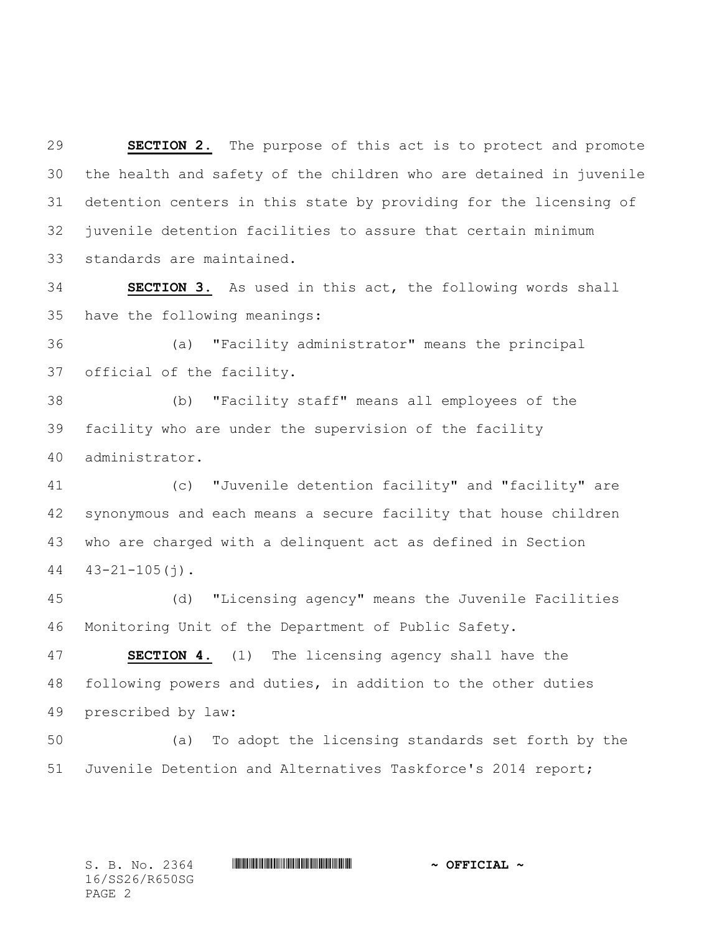**SECTION 2.** The purpose of this act is to protect and promote the health and safety of the children who are detained in juvenile detention centers in this state by providing for the licensing of juvenile detention facilities to assure that certain minimum standards are maintained.

 **SECTION 3.** As used in this act, the following words shall have the following meanings:

 (a) "Facility administrator" means the principal official of the facility.

 (b) "Facility staff" means all employees of the facility who are under the supervision of the facility administrator.

 (c) "Juvenile detention facility" and "facility" are synonymous and each means a secure facility that house children who are charged with a delinquent act as defined in Section  $44 \quad 43 - 21 - 105$  (j).

 (d) "Licensing agency" means the Juvenile Facilities Monitoring Unit of the Department of Public Safety.

 **SECTION 4.** (1) The licensing agency shall have the following powers and duties, in addition to the other duties prescribed by law:

 (a) To adopt the licensing standards set forth by the Juvenile Detention and Alternatives Taskforce's 2014 report;

16/SS26/R650SG PAGE 2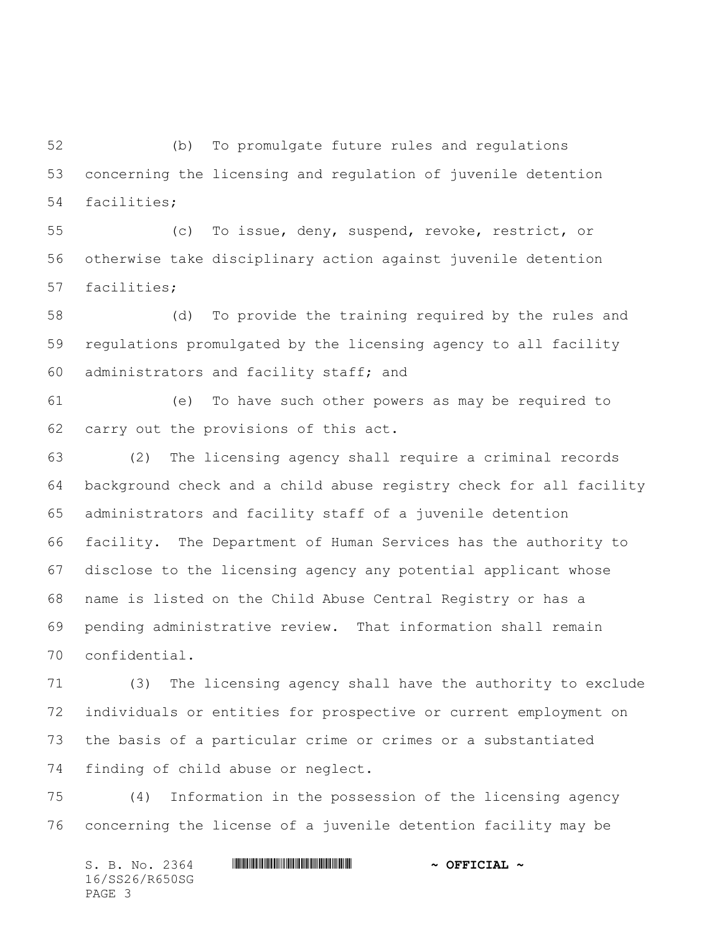(b) To promulgate future rules and regulations concerning the licensing and regulation of juvenile detention facilities;

 (c) To issue, deny, suspend, revoke, restrict, or otherwise take disciplinary action against juvenile detention facilities;

 (d) To provide the training required by the rules and regulations promulgated by the licensing agency to all facility administrators and facility staff; and

 (e) To have such other powers as may be required to carry out the provisions of this act.

 (2) The licensing agency shall require a criminal records background check and a child abuse registry check for all facility administrators and facility staff of a juvenile detention facility. The Department of Human Services has the authority to disclose to the licensing agency any potential applicant whose name is listed on the Child Abuse Central Registry or has a pending administrative review. That information shall remain confidential.

 (3) The licensing agency shall have the authority to exclude individuals or entities for prospective or current employment on the basis of a particular crime or crimes or a substantiated finding of child abuse or neglect.

 (4) Information in the possession of the licensing agency concerning the license of a juvenile detention facility may be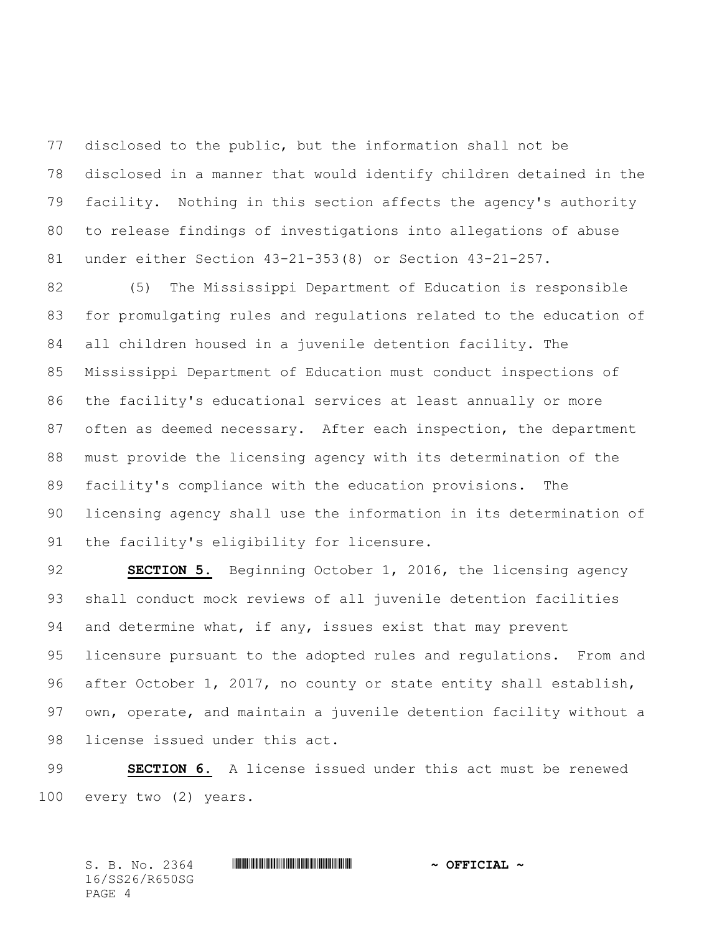disclosed to the public, but the information shall not be disclosed in a manner that would identify children detained in the facility. Nothing in this section affects the agency's authority to release findings of investigations into allegations of abuse under either Section 43-21-353(8) or Section 43-21-257.

 (5) The Mississippi Department of Education is responsible for promulgating rules and regulations related to the education of all children housed in a juvenile detention facility. The Mississippi Department of Education must conduct inspections of the facility's educational services at least annually or more 87 often as deemed necessary. After each inspection, the department must provide the licensing agency with its determination of the facility's compliance with the education provisions. The licensing agency shall use the information in its determination of the facility's eligibility for licensure.

 **SECTION 5.** Beginning October 1, 2016, the licensing agency shall conduct mock reviews of all juvenile detention facilities and determine what, if any, issues exist that may prevent licensure pursuant to the adopted rules and regulations. From and after October 1, 2017, no county or state entity shall establish, own, operate, and maintain a juvenile detention facility without a license issued under this act.

 **SECTION 6.** A license issued under this act must be renewed every two (2) years.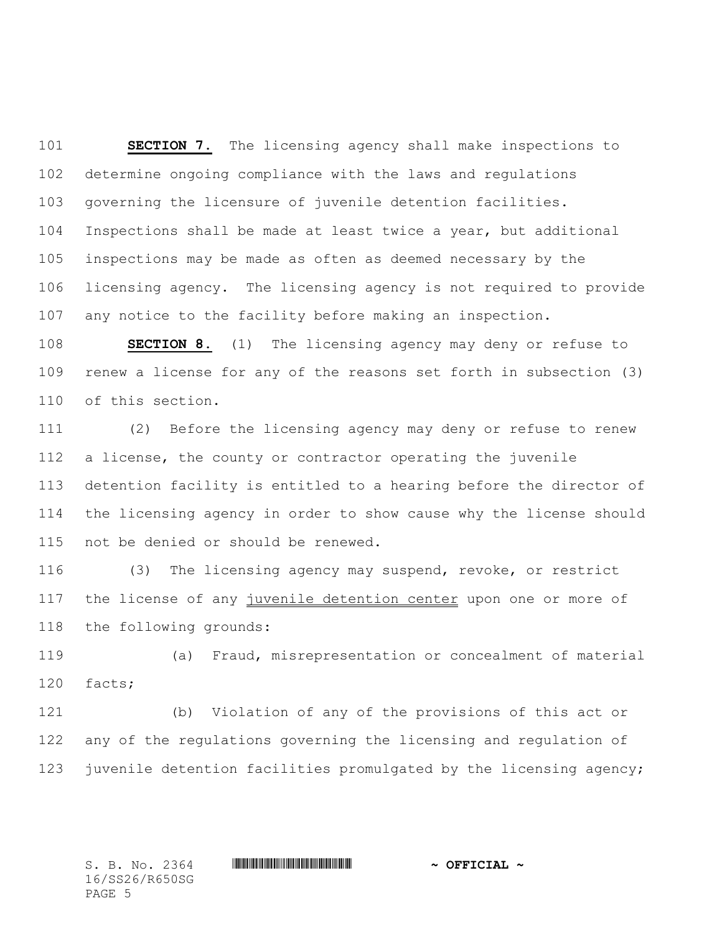**SECTION 7.** The licensing agency shall make inspections to determine ongoing compliance with the laws and regulations governing the licensure of juvenile detention facilities. Inspections shall be made at least twice a year, but additional inspections may be made as often as deemed necessary by the licensing agency. The licensing agency is not required to provide any notice to the facility before making an inspection.

 **SECTION 8.** (1) The licensing agency may deny or refuse to renew a license for any of the reasons set forth in subsection (3) of this section.

 (2) Before the licensing agency may deny or refuse to renew a license, the county or contractor operating the juvenile detention facility is entitled to a hearing before the director of the licensing agency in order to show cause why the license should not be denied or should be renewed.

 (3) The licensing agency may suspend, revoke, or restrict the license of any juvenile detention center upon one or more of the following grounds:

 (a) Fraud, misrepresentation or concealment of material facts;

 (b) Violation of any of the provisions of this act or any of the regulations governing the licensing and regulation of 123 juvenile detention facilities promulgated by the licensing agency;

16/SS26/R650SG PAGE 5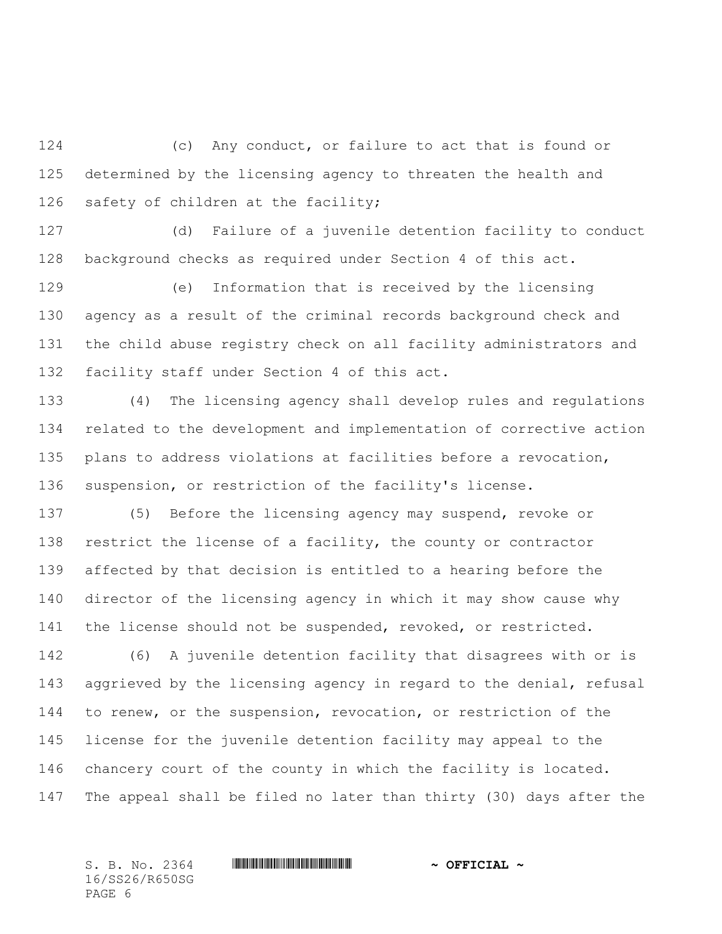(c) Any conduct, or failure to act that is found or determined by the licensing agency to threaten the health and 126 safety of children at the facility;

 (d) Failure of a juvenile detention facility to conduct background checks as required under Section 4 of this act.

 (e) Information that is received by the licensing agency as a result of the criminal records background check and the child abuse registry check on all facility administrators and facility staff under Section 4 of this act.

 (4) The licensing agency shall develop rules and regulations related to the development and implementation of corrective action plans to address violations at facilities before a revocation, suspension, or restriction of the facility's license.

 (5) Before the licensing agency may suspend, revoke or restrict the license of a facility, the county or contractor affected by that decision is entitled to a hearing before the director of the licensing agency in which it may show cause why the license should not be suspended, revoked, or restricted.

 (6) A juvenile detention facility that disagrees with or is aggrieved by the licensing agency in regard to the denial, refusal to renew, or the suspension, revocation, or restriction of the license for the juvenile detention facility may appeal to the chancery court of the county in which the facility is located. The appeal shall be filed no later than thirty (30) days after the

16/SS26/R650SG PAGE 6

## S. B. No. 2364 **\*\*\* WILL AND \*\*\*\*** \*\*\* \*\*\* \*\*\* \*\*\* \*\*  $\sim$  **OFFICIAL** \*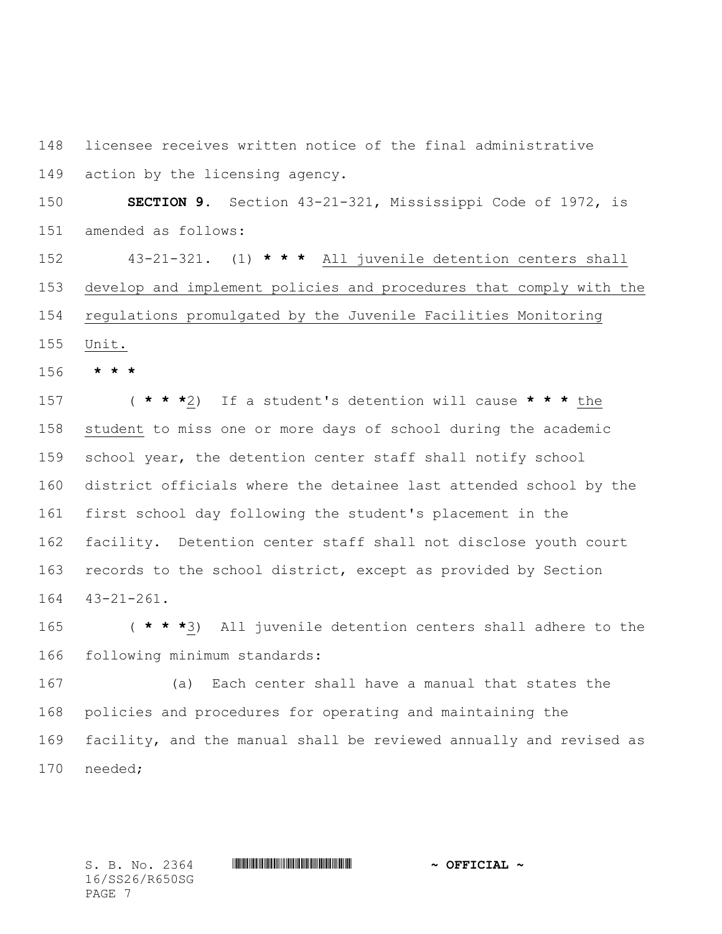licensee receives written notice of the final administrative action by the licensing agency.

 **SECTION 9.** Section 43-21-321, Mississippi Code of 1972, is amended as follows:

 43-21-321. (1) **\* \* \*** All juvenile detention centers shall develop and implement policies and procedures that comply with the regulations promulgated by the Juvenile Facilities Monitoring Unit.

**\* \* \***

 ( **\* \* \***2) If a student's detention will cause **\* \* \*** the student to miss one or more days of school during the academic school year, the detention center staff shall notify school district officials where the detainee last attended school by the first school day following the student's placement in the facility. Detention center staff shall not disclose youth court records to the school district, except as provided by Section 43-21-261.

 ( **\* \* \***3) All juvenile detention centers shall adhere to the following minimum standards:

 (a) Each center shall have a manual that states the policies and procedures for operating and maintaining the facility, and the manual shall be reviewed annually and revised as needed;

16/SS26/R650SG PAGE 7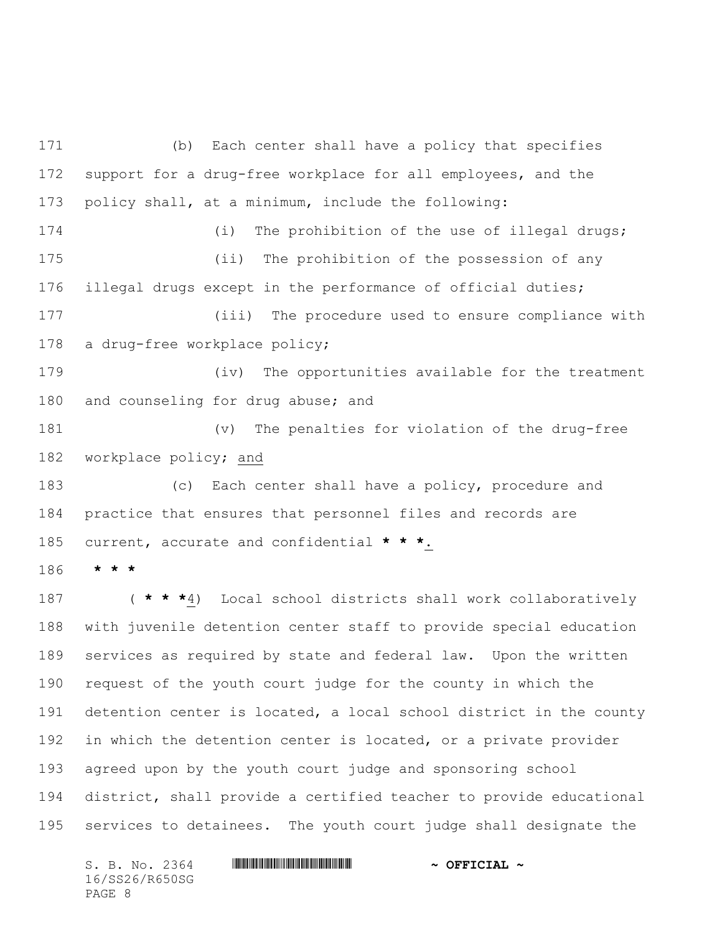(b) Each center shall have a policy that specifies support for a drug-free workplace for all employees, and the policy shall, at a minimum, include the following: 174 (i) The prohibition of the use of illegal drugs; (ii) The prohibition of the possession of any illegal drugs except in the performance of official duties; (iii) The procedure used to ensure compliance with a drug-free workplace policy; (iv) The opportunities available for the treatment and counseling for drug abuse; and (v) The penalties for violation of the drug-free workplace policy; and (c) Each center shall have a policy, procedure and practice that ensures that personnel files and records are current, accurate and confidential **\* \* \***. **\* \* \*** ( **\* \* \***4) Local school districts shall work collaboratively with juvenile detention center staff to provide special education services as required by state and federal law. Upon the written request of the youth court judge for the county in which the detention center is located, a local school district in the county 192 in which the detention center is located, or a private provider agreed upon by the youth court judge and sponsoring school

 district, shall provide a certified teacher to provide educational services to detainees. The youth court judge shall designate the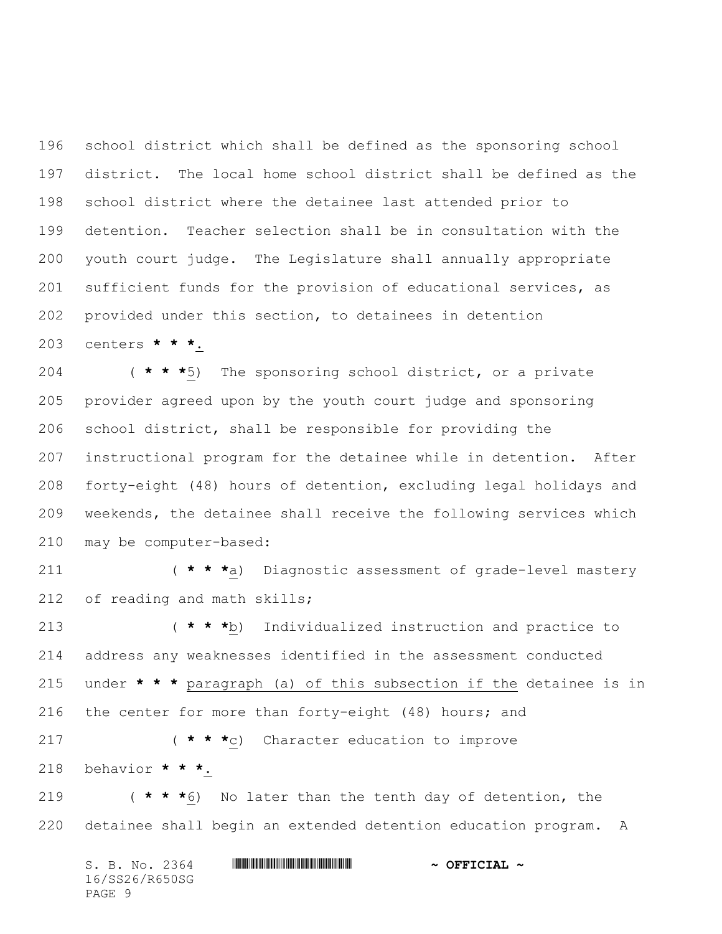school district which shall be defined as the sponsoring school district. The local home school district shall be defined as the school district where the detainee last attended prior to detention. Teacher selection shall be in consultation with the youth court judge. The Legislature shall annually appropriate sufficient funds for the provision of educational services, as provided under this section, to detainees in detention centers **\* \* \***.

 ( **\* \* \***5) The sponsoring school district, or a private provider agreed upon by the youth court judge and sponsoring school district, shall be responsible for providing the instructional program for the detainee while in detention. After forty-eight (48) hours of detention, excluding legal holidays and weekends, the detainee shall receive the following services which may be computer-based:

 ( **\* \* \***a) Diagnostic assessment of grade-level mastery of reading and math skills;

 ( **\* \* \***b) Individualized instruction and practice to address any weaknesses identified in the assessment conducted under **\* \* \*** paragraph (a) of this subsection if the detainee is in 216 the center for more than forty-eight (48) hours; and

 ( **\* \* \***c) Character education to improve behavior **\* \* \***.

 ( **\* \* \***6) No later than the tenth day of detention, the detainee shall begin an extended detention education program. A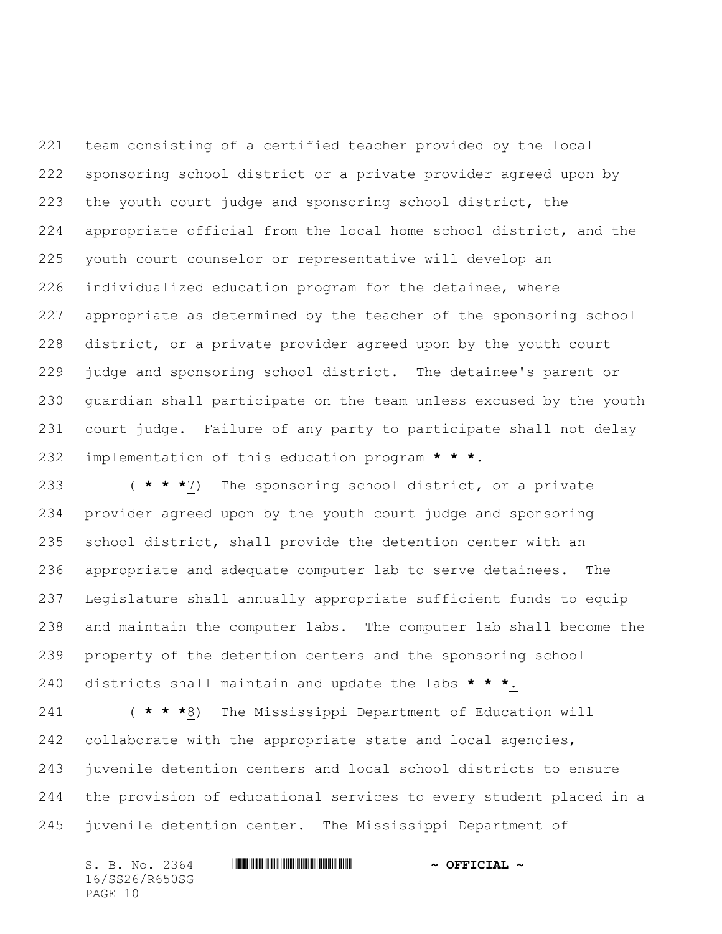team consisting of a certified teacher provided by the local sponsoring school district or a private provider agreed upon by the youth court judge and sponsoring school district, the appropriate official from the local home school district, and the youth court counselor or representative will develop an individualized education program for the detainee, where appropriate as determined by the teacher of the sponsoring school district, or a private provider agreed upon by the youth court judge and sponsoring school district. The detainee's parent or guardian shall participate on the team unless excused by the youth court judge. Failure of any party to participate shall not delay implementation of this education program **\* \* \***.

 ( **\* \* \***7) The sponsoring school district, or a private provider agreed upon by the youth court judge and sponsoring school district, shall provide the detention center with an appropriate and adequate computer lab to serve detainees. The Legislature shall annually appropriate sufficient funds to equip and maintain the computer labs. The computer lab shall become the property of the detention centers and the sponsoring school districts shall maintain and update the labs **\* \* \***.

 ( **\* \* \***8) The Mississippi Department of Education will 242 collaborate with the appropriate state and local agencies, juvenile detention centers and local school districts to ensure the provision of educational services to every student placed in a juvenile detention center. The Mississippi Department of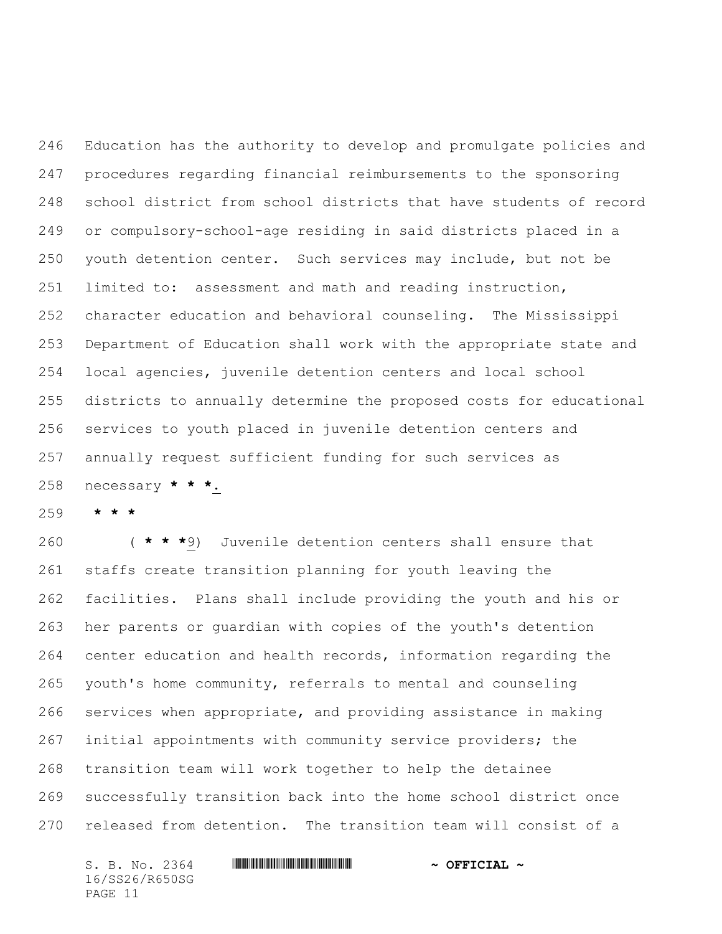Education has the authority to develop and promulgate policies and procedures regarding financial reimbursements to the sponsoring school district from school districts that have students of record or compulsory-school-age residing in said districts placed in a youth detention center. Such services may include, but not be limited to: assessment and math and reading instruction, character education and behavioral counseling. The Mississippi Department of Education shall work with the appropriate state and local agencies, juvenile detention centers and local school districts to annually determine the proposed costs for educational services to youth placed in juvenile detention centers and annually request sufficient funding for such services as necessary **\* \* \***.

**\* \* \***

 ( **\* \* \***9) Juvenile detention centers shall ensure that staffs create transition planning for youth leaving the facilities. Plans shall include providing the youth and his or her parents or guardian with copies of the youth's detention center education and health records, information regarding the youth's home community, referrals to mental and counseling services when appropriate, and providing assistance in making initial appointments with community service providers; the transition team will work together to help the detainee successfully transition back into the home school district once released from detention**.** The transition team will consist of a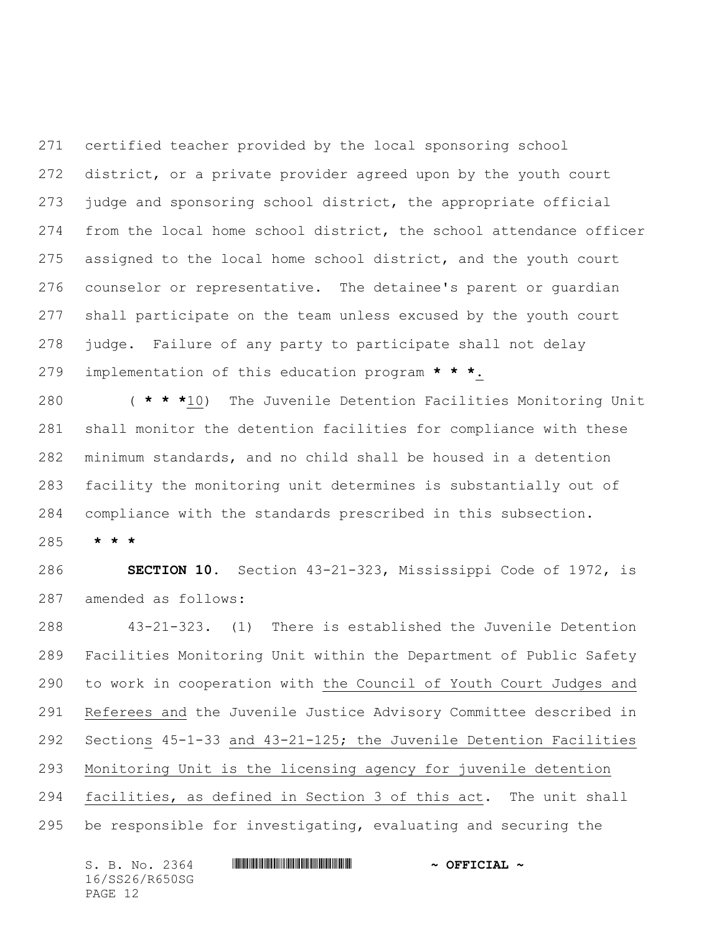certified teacher provided by the local sponsoring school district, or a private provider agreed upon by the youth court judge and sponsoring school district, the appropriate official from the local home school district, the school attendance officer assigned to the local home school district, and the youth court counselor or representative. The detainee's parent or guardian shall participate on the team unless excused by the youth court judge.Failure of any party to participate shall not delay implementation of this education program **\* \* \***.

 ( **\* \* \***10) The Juvenile Detention Facilities Monitoring Unit shall monitor the detention facilities for compliance with these minimum standards, and no child shall be housed in a detention facility the monitoring unit determines is substantially out of compliance with the standards prescribed in this subsection.

**\* \* \***

 **SECTION 10.** Section 43-21-323, Mississippi Code of 1972, is amended as follows:

 43-21-323.(1) There is established the Juvenile Detention Facilities Monitoring Unit within the Department of Public Safety to work in cooperation with the Council of Youth Court Judges and Referees and the Juvenile Justice Advisory Committee described in Sections 45-1-33 and 43-21-125; the Juvenile Detention Facilities Monitoring Unit is the licensing agency for juvenile detention facilities, as defined in Section 3 of this act. The unit shall

be responsible for investigating, evaluating and securing the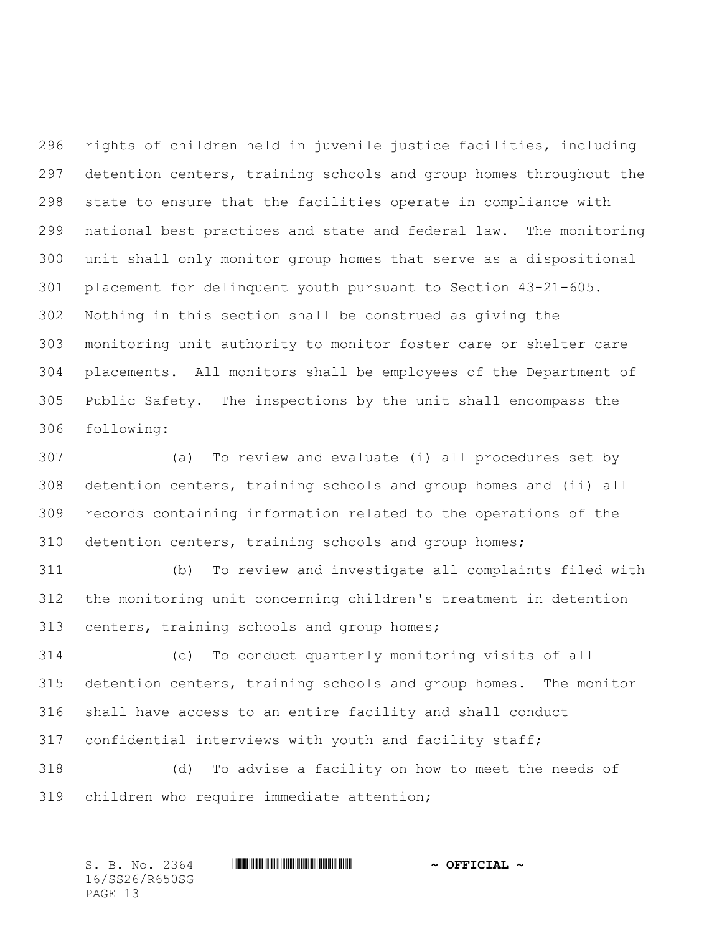rights of children held in juvenile justice facilities, including detention centers, training schools and group homes throughout the state to ensure that the facilities operate in compliance with national best practices and state and federal law. The monitoring unit shall only monitor group homes that serve as a dispositional placement for delinquent youth pursuant to Section 43-21-605. Nothing in this section shall be construed as giving the monitoring unit authority to monitor foster care or shelter care placements. All monitors shall be employees of the Department of Public Safety. The inspections by the unit shall encompass the following:

 (a) To review and evaluate (i) all procedures set by detention centers, training schools and group homes and (ii) all records containing information related to the operations of the detention centers, training schools and group homes;

 (b) To review and investigate all complaints filed with the monitoring unit concerning children's treatment in detention centers, training schools and group homes;

 (c) To conduct quarterly monitoring visits of all detention centers, training schools and group homes. The monitor shall have access to an entire facility and shall conduct confidential interviews with youth and facility staff;

 (d) To advise a facility on how to meet the needs of children who require immediate attention;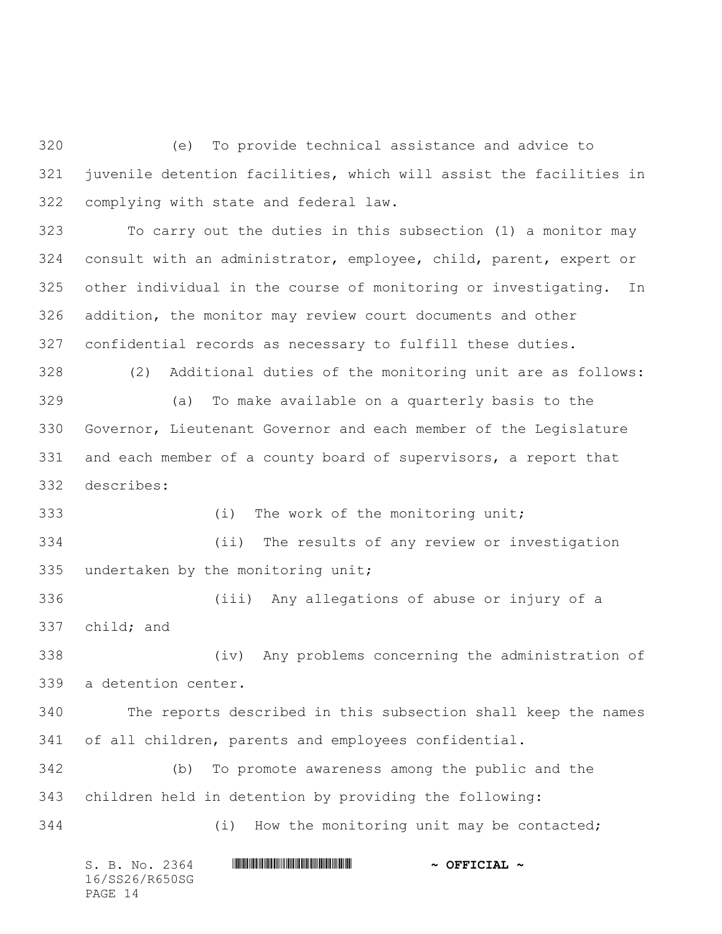(e) To provide technical assistance and advice to juvenile detention facilities, which will assist the facilities in complying with state and federal law.

 To carry out the duties in this subsection (1) a monitor may consult with an administrator, employee, child, parent, expert or other individual in the course of monitoring or investigating. In addition, the monitor may review court documents and other confidential records as necessary to fulfill these duties.

 (2) Additional duties of the monitoring unit are as follows: (a) To make available on a quarterly basis to the Governor, Lieutenant Governor and each member of the Legislature and each member of a county board of supervisors, a report that describes:

 (i) The work of the monitoring unit; (ii) The results of any review or investigation undertaken by the monitoring unit;

 (iii) Any allegations of abuse or injury of a child; and

 (iv) Any problems concerning the administration of a detention center.

 The reports described in this subsection shall keep the names of all children, parents and employees confidential.

 (b) To promote awareness among the public and the children held in detention by providing the following:

(i) How the monitoring unit may be contacted;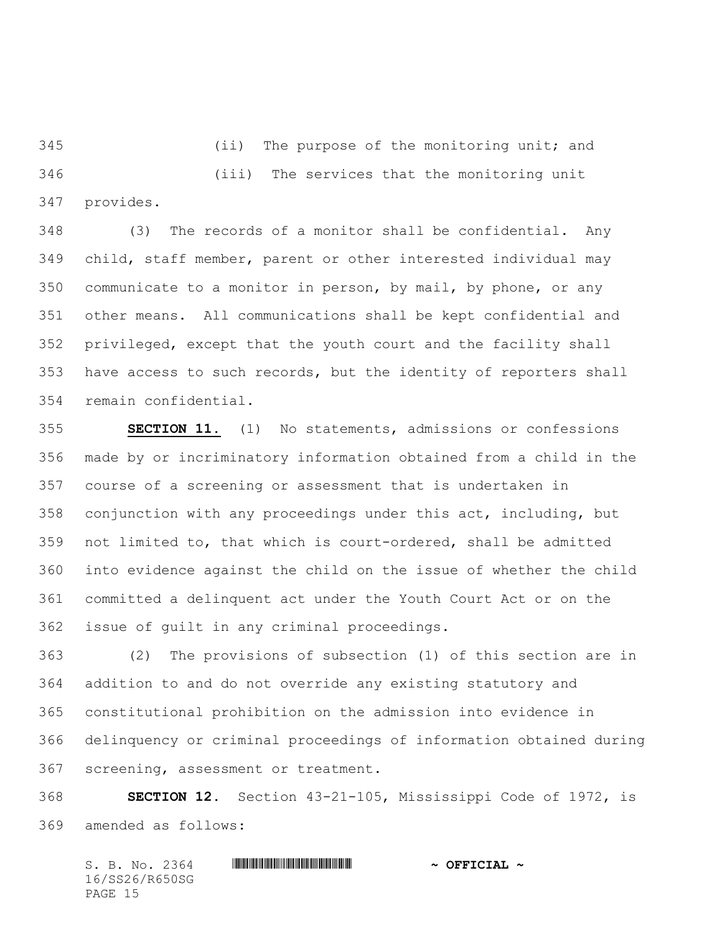(ii) The purpose of the monitoring unit; and (iii) The services that the monitoring unit provides.

 (3) The records of a monitor shall be confidential. Any child, staff member, parent or other interested individual may communicate to a monitor in person, by mail, by phone, or any other means. All communications shall be kept confidential and privileged, except that the youth court and the facility shall have access to such records, but the identity of reporters shall remain confidential.

 **SECTION 11.** (1) No statements, admissions or confessions made by or incriminatory information obtained from a child in the course of a screening or assessment that is undertaken in conjunction with any proceedings under this act, including, but not limited to, that which is court-ordered, shall be admitted into evidence against the child on the issue of whether the child committed a delinquent act under the Youth Court Act or on the issue of guilt in any criminal proceedings.

 (2) The provisions of subsection (1) of this section are in addition to and do not override any existing statutory and constitutional prohibition on the admission into evidence in delinquency or criminal proceedings of information obtained during screening, assessment or treatment.

 **SECTION 12.** Section 43-21-105, Mississippi Code of 1972, is amended as follows: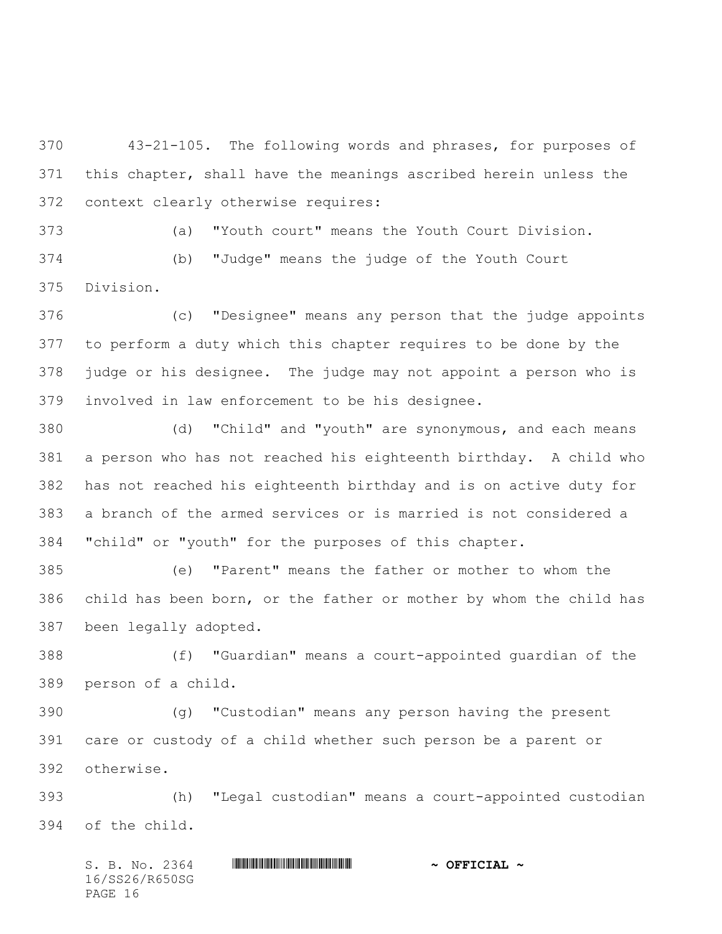43-21-105. The following words and phrases, for purposes of this chapter, shall have the meanings ascribed herein unless the context clearly otherwise requires:

(a) "Youth court" means the Youth Court Division.

 (b) "Judge" means the judge of the Youth Court Division.

 (c) "Designee" means any person that the judge appoints to perform a duty which this chapter requires to be done by the judge or his designee. The judge may not appoint a person who is involved in law enforcement to be his designee.

 (d) "Child" and "youth" are synonymous, and each means a person who has not reached his eighteenth birthday. A child who has not reached his eighteenth birthday and is on active duty for a branch of the armed services or is married is not considered a "child" or "youth" for the purposes of this chapter.

 (e) "Parent" means the father or mother to whom the child has been born, or the father or mother by whom the child has been legally adopted.

 (f) "Guardian" means a court-appointed guardian of the person of a child.

 (g) "Custodian" means any person having the present care or custody of a child whether such person be a parent or otherwise.

 (h) "Legal custodian" means a court-appointed custodian of the child.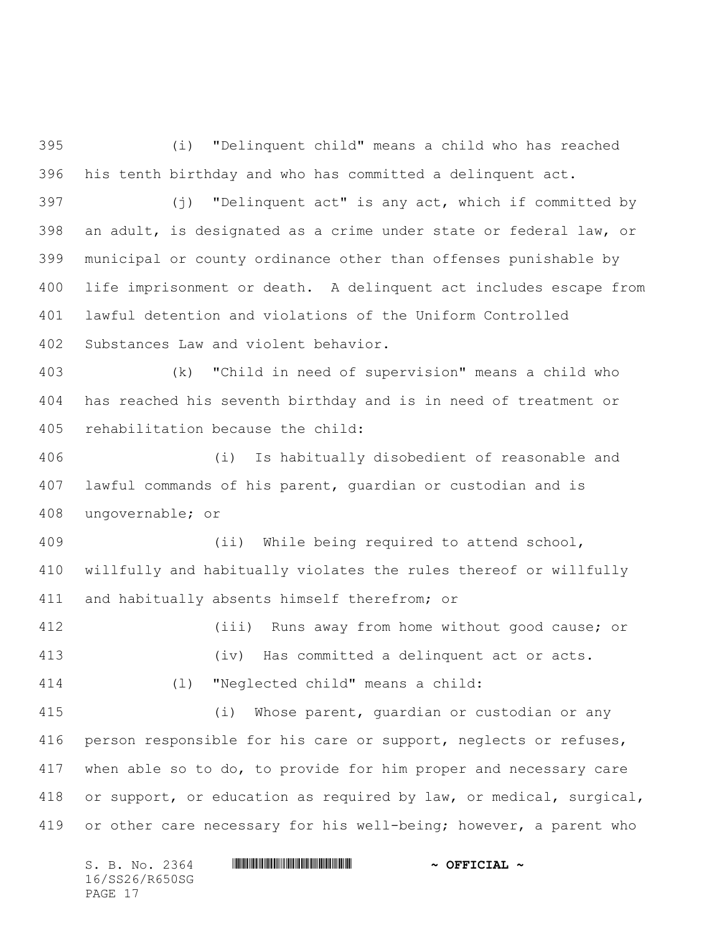(i) "Delinquent child" means a child who has reached his tenth birthday and who has committed a delinquent act.

 (j) "Delinquent act" is any act, which if committed by an adult, is designated as a crime under state or federal law, or municipal or county ordinance other than offenses punishable by life imprisonment or death. A delinquent act includes escape from lawful detention and violations of the Uniform Controlled Substances Law and violent behavior.

 (k) "Child in need of supervision" means a child who has reached his seventh birthday and is in need of treatment or rehabilitation because the child:

 (i) Is habitually disobedient of reasonable and lawful commands of his parent, guardian or custodian and is ungovernable; or

 (ii) While being required to attend school, willfully and habitually violates the rules thereof or willfully and habitually absents himself therefrom; or

 (iii) Runs away from home without good cause; or (iv) Has committed a delinquent act or acts. (l) "Neglected child" means a child:

 (i) Whose parent, guardian or custodian or any 416 person responsible for his care or support, neglects or refuses, when able so to do, to provide for him proper and necessary care or support, or education as required by law, or medical, surgical, 419 or other care necessary for his well-being; however, a parent who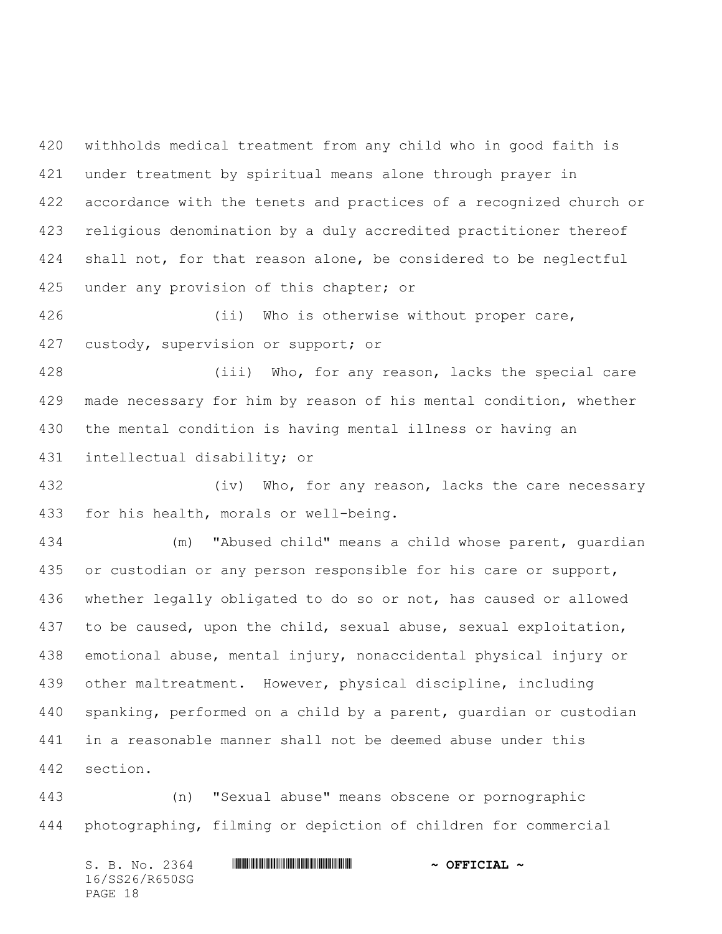withholds medical treatment from any child who in good faith is under treatment by spiritual means alone through prayer in accordance with the tenets and practices of a recognized church or religious denomination by a duly accredited practitioner thereof 424 shall not, for that reason alone, be considered to be neglectful 425 under any provision of this chapter; or

 (ii) Who is otherwise without proper care, custody, supervision or support; or

 (iii) Who, for any reason, lacks the special care made necessary for him by reason of his mental condition, whether the mental condition is having mental illness or having an intellectual disability; or

432 (iv) Who, for any reason, lacks the care necessary for his health, morals or well-being.

 (m) "Abused child" means a child whose parent, guardian or custodian or any person responsible for his care or support, whether legally obligated to do so or not, has caused or allowed to be caused, upon the child, sexual abuse, sexual exploitation, emotional abuse, mental injury, nonaccidental physical injury or other maltreatment. However, physical discipline, including spanking, performed on a child by a parent, guardian or custodian in a reasonable manner shall not be deemed abuse under this section.

 (n) "Sexual abuse" means obscene or pornographic photographing, filming or depiction of children for commercial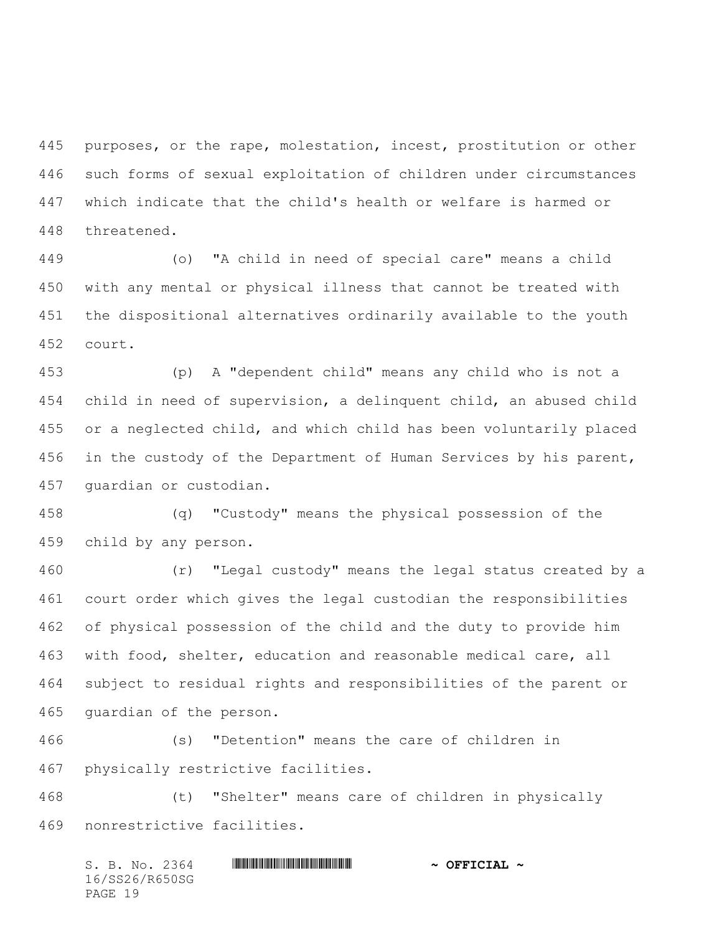purposes, or the rape, molestation, incest, prostitution or other such forms of sexual exploitation of children under circumstances which indicate that the child's health or welfare is harmed or threatened.

 (o) "A child in need of special care" means a child with any mental or physical illness that cannot be treated with the dispositional alternatives ordinarily available to the youth court.

 (p) A "dependent child" means any child who is not a child in need of supervision, a delinquent child, an abused child or a neglected child, and which child has been voluntarily placed 456 in the custody of the Department of Human Services by his parent, guardian or custodian.

 (q) "Custody" means the physical possession of the child by any person.

 (r) "Legal custody" means the legal status created by a court order which gives the legal custodian the responsibilities of physical possession of the child and the duty to provide him with food, shelter, education and reasonable medical care, all subject to residual rights and responsibilities of the parent or guardian of the person.

 (s) "Detention" means the care of children in physically restrictive facilities.

 (t) "Shelter" means care of children in physically nonrestrictive facilities.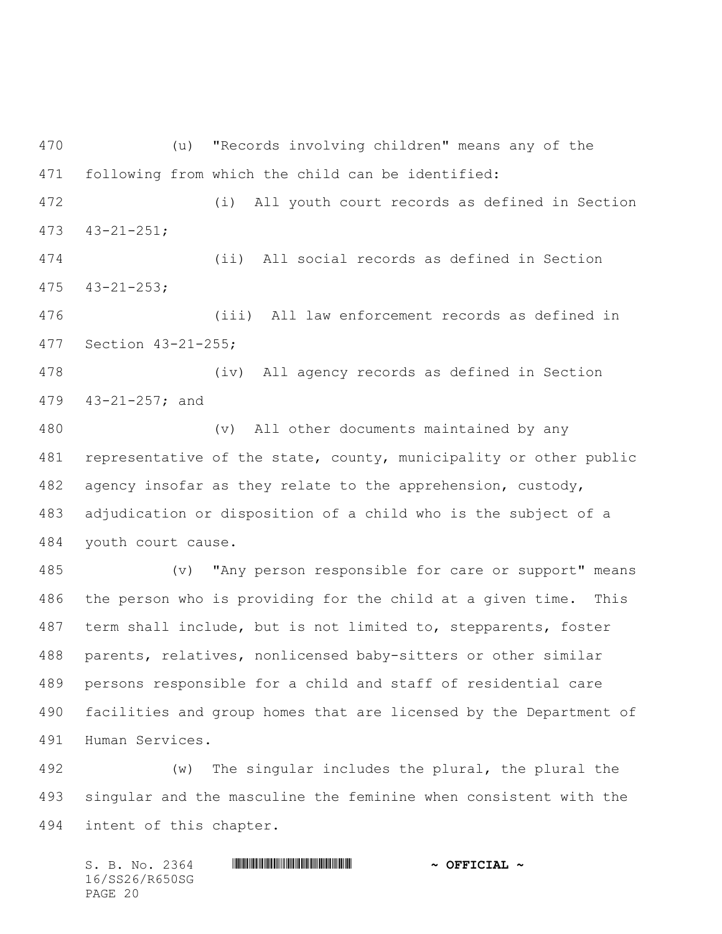(u) "Records involving children" means any of the following from which the child can be identified:

 (i) All youth court records as defined in Section 43-21-251;

 (ii) All social records as defined in Section 43-21-253;

 (iii) All law enforcement records as defined in Section 43-21-255;

 (iv) All agency records as defined in Section 43-21-257; and

 (v) All other documents maintained by any representative of the state, county, municipality or other public agency insofar as they relate to the apprehension, custody, adjudication or disposition of a child who is the subject of a youth court cause.

 (v) "Any person responsible for care or support" means the person who is providing for the child at a given time. This term shall include, but is not limited to, stepparents, foster parents, relatives, nonlicensed baby-sitters or other similar persons responsible for a child and staff of residential care facilities and group homes that are licensed by the Department of Human Services.

 (w) The singular includes the plural, the plural the singular and the masculine the feminine when consistent with the intent of this chapter.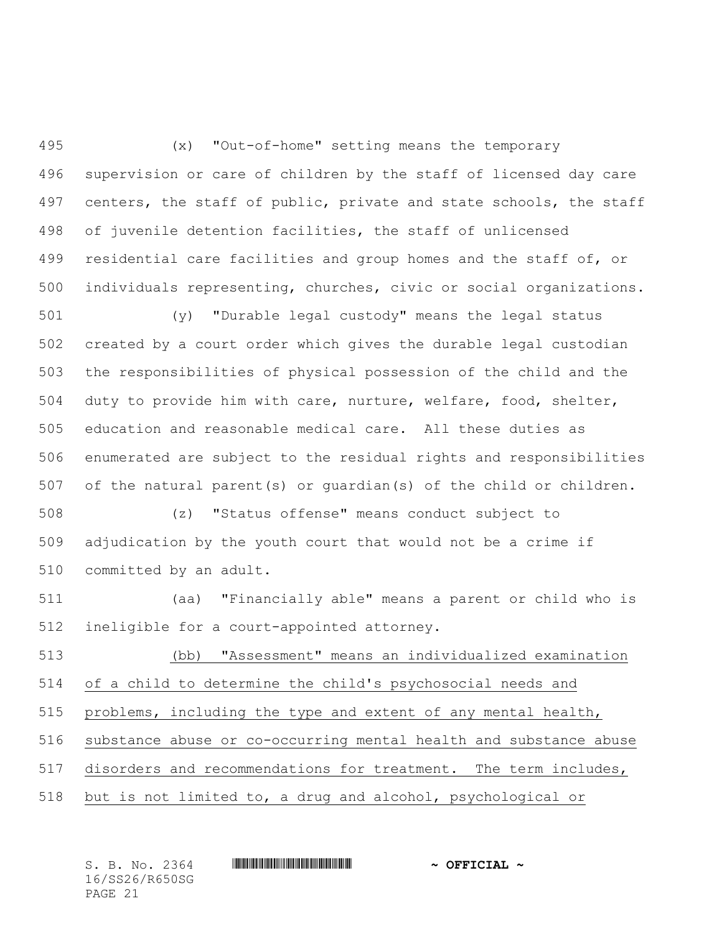(x) "Out-of-home" setting means the temporary supervision or care of children by the staff of licensed day care 497 centers, the staff of public, private and state schools, the staff of juvenile detention facilities, the staff of unlicensed 499 residential care facilities and group homes and the staff of, or individuals representing, churches, civic or social organizations.

 (y) "Durable legal custody" means the legal status created by a court order which gives the durable legal custodian the responsibilities of physical possession of the child and the duty to provide him with care, nurture, welfare, food, shelter, education and reasonable medical care. All these duties as enumerated are subject to the residual rights and responsibilities of the natural parent(s) or guardian(s) of the child or children.

 (z) "Status offense" means conduct subject to adjudication by the youth court that would not be a crime if committed by an adult.

 (aa) "Financially able" means a parent or child who is ineligible for a court-appointed attorney.

 (bb) "Assessment" means an individualized examination of a child to determine the child's psychosocial needs and problems, including the type and extent of any mental health, substance abuse or co-occurring mental health and substance abuse 517 disorders and recommendations for treatment. The term includes, but is not limited to, a drug and alcohol, psychological or

| S. B. No. 2364 | $\sim$ OFFICIAL $\sim$ |
|----------------|------------------------|
| 16/SS26/R650SG |                        |
| PAGE 21        |                        |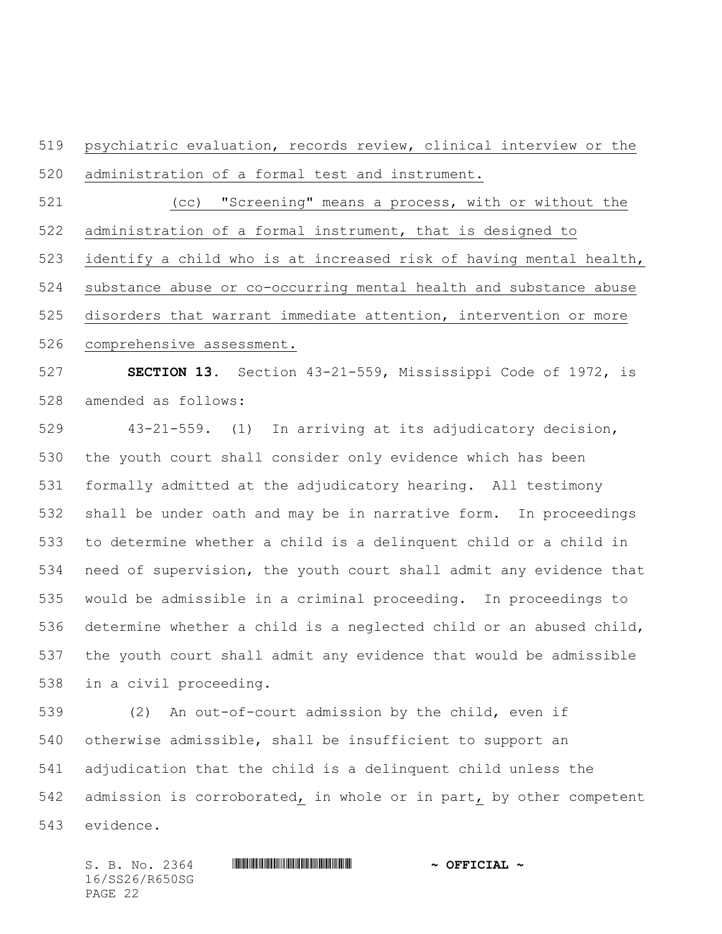psychiatric evaluation, records review, clinical interview or the administration of a formal test and instrument.

 (cc) "Screening" means a process, with or without the administration of a formal instrument, that is designed to

identify a child who is at increased risk of having mental health,

substance abuse or co-occurring mental health and substance abuse

 disorders that warrant immediate attention, intervention or more comprehensive assessment.

 **SECTION 13.** Section 43-21-559, Mississippi Code of 1972, is amended as follows:

 43-21-559. (1) In arriving at its adjudicatory decision, the youth court shall consider only evidence which has been formally admitted at the adjudicatory hearing. All testimony shall be under oath and may be in narrative form. In proceedings to determine whether a child is a delinquent child or a child in need of supervision, the youth court shall admit any evidence that would be admissible in a criminal proceeding. In proceedings to determine whether a child is a neglected child or an abused child, the youth court shall admit any evidence that would be admissible in a civil proceeding.

 (2) An out-of-court admission by the child, even if otherwise admissible, shall be insufficient to support an adjudication that the child is a delinquent child unless the admission is corroborated, in whole or in part, by other competent evidence.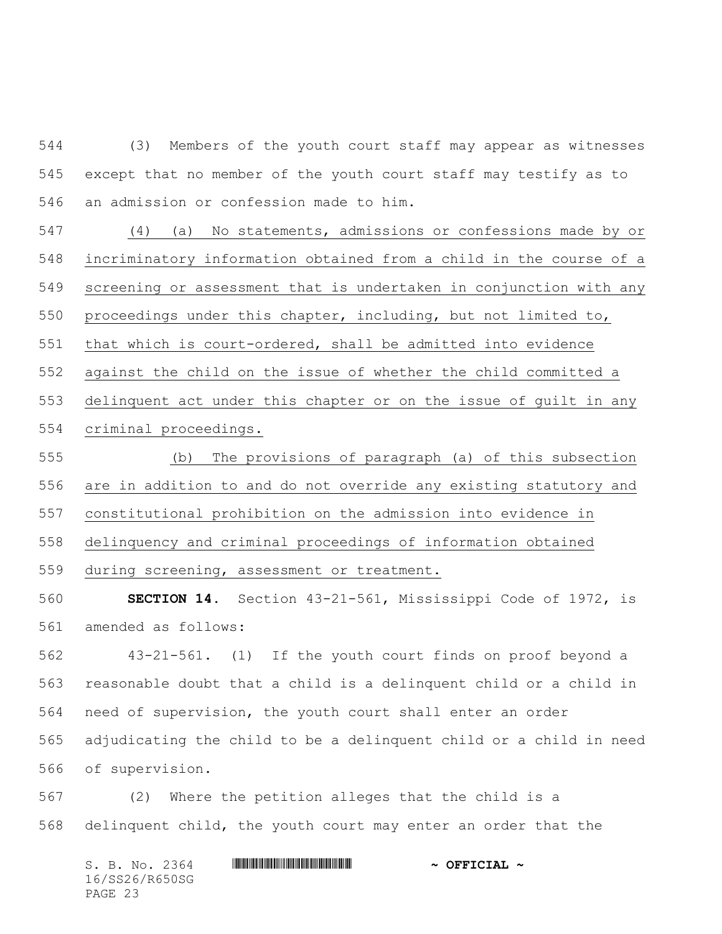(3) Members of the youth court staff may appear as witnesses except that no member of the youth court staff may testify as to an admission or confession made to him.

 (4) (a) No statements, admissions or confessions made by or incriminatory information obtained from a child in the course of a screening or assessment that is undertaken in conjunction with any proceedings under this chapter, including, but not limited to, that which is court-ordered, shall be admitted into evidence against the child on the issue of whether the child committed a delinquent act under this chapter or on the issue of guilt in any criminal proceedings.

 (b) The provisions of paragraph (a) of this subsection are in addition to and do not override any existing statutory and constitutional prohibition on the admission into evidence in delinquency and criminal proceedings of information obtained during screening, assessment or treatment.

 **SECTION 14.** Section 43-21-561, Mississippi Code of 1972, is amended as follows:

 43-21-561. (1) If the youth court finds on proof beyond a reasonable doubt that a child is a delinquent child or a child in need of supervision, the youth court shall enter an order adjudicating the child to be a delinquent child or a child in need of supervision.

 (2) Where the petition alleges that the child is a delinquent child, the youth court may enter an order that the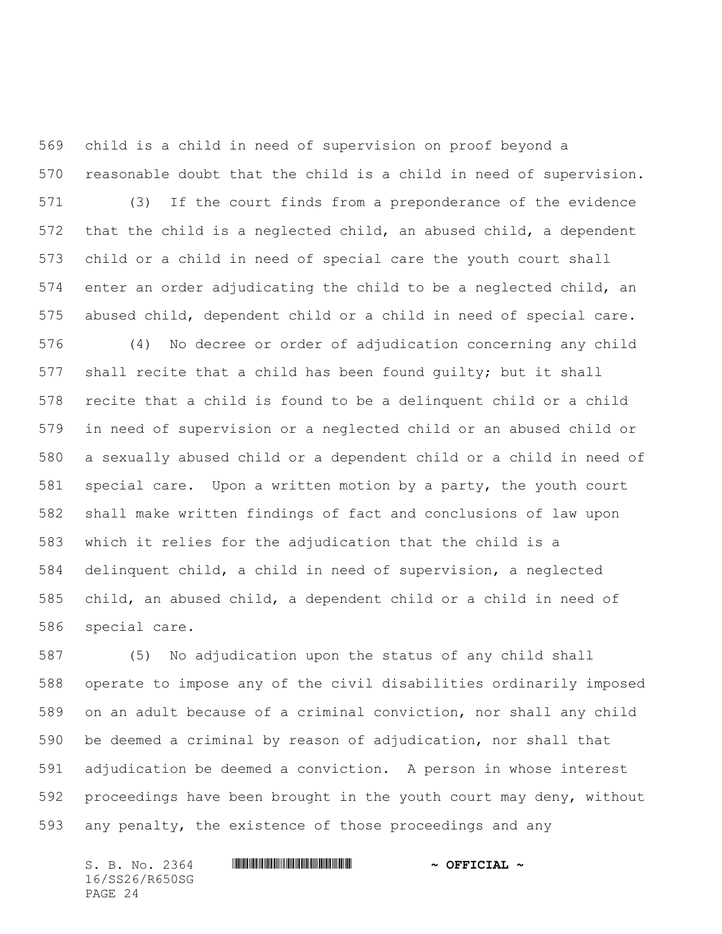child is a child in need of supervision on proof beyond a reasonable doubt that the child is a child in need of supervision. (3) If the court finds from a preponderance of the evidence that the child is a neglected child, an abused child, a dependent child or a child in need of special care the youth court shall enter an order adjudicating the child to be a neglected child, an abused child, dependent child or a child in need of special care. (4) No decree or order of adjudication concerning any child shall recite that a child has been found guilty; but it shall recite that a child is found to be a delinquent child or a child in need of supervision or a neglected child or an abused child or a sexually abused child or a dependent child or a child in need of special care. Upon a written motion by a party, the youth court shall make written findings of fact and conclusions of law upon which it relies for the adjudication that the child is a delinquent child, a child in need of supervision, a neglected child, an abused child, a dependent child or a child in need of special care.

 (5) No adjudication upon the status of any child shall operate to impose any of the civil disabilities ordinarily imposed on an adult because of a criminal conviction, nor shall any child be deemed a criminal by reason of adjudication, nor shall that adjudication be deemed a conviction. A person in whose interest proceedings have been brought in the youth court may deny, without any penalty, the existence of those proceedings and any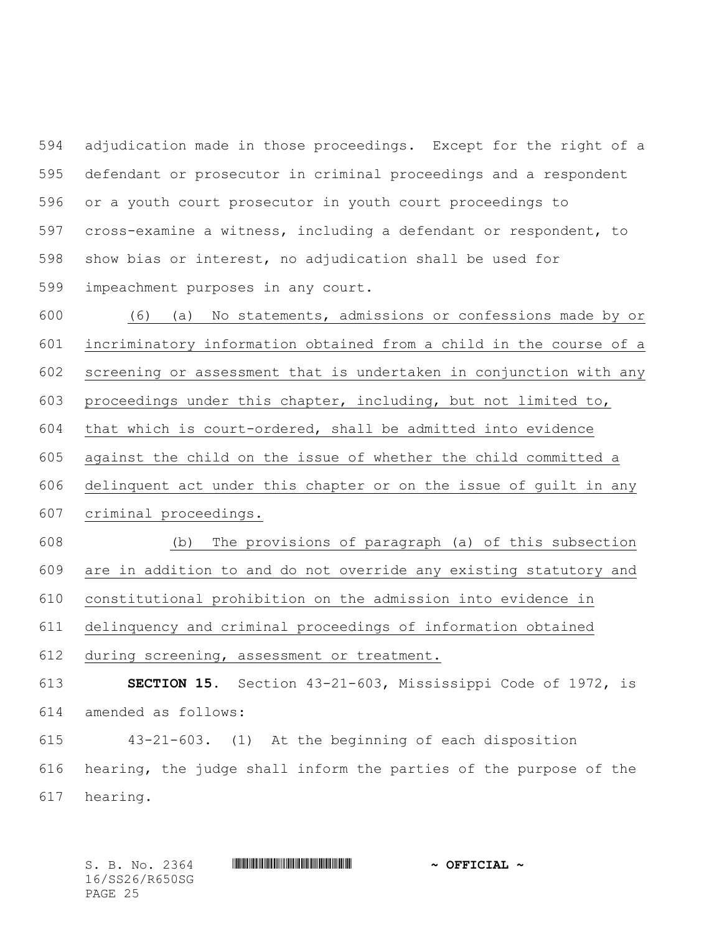adjudication made in those proceedings. Except for the right of a defendant or prosecutor in criminal proceedings and a respondent or a youth court prosecutor in youth court proceedings to cross-examine a witness, including a defendant or respondent, to show bias or interest, no adjudication shall be used for impeachment purposes in any court.

 (6) (a) No statements, admissions or confessions made by or incriminatory information obtained from a child in the course of a screening or assessment that is undertaken in conjunction with any proceedings under this chapter, including, but not limited to, that which is court-ordered, shall be admitted into evidence against the child on the issue of whether the child committed a delinquent act under this chapter or on the issue of guilt in any criminal proceedings.

 (b) The provisions of paragraph (a) of this subsection are in addition to and do not override any existing statutory and constitutional prohibition on the admission into evidence in delinquency and criminal proceedings of information obtained

during screening, assessment or treatment.

 **SECTION 15.** Section 43-21-603, Mississippi Code of 1972, is amended as follows:

 43-21-603. (1) At the beginning of each disposition hearing, the judge shall inform the parties of the purpose of the hearing.

16/SS26/R650SG PAGE 25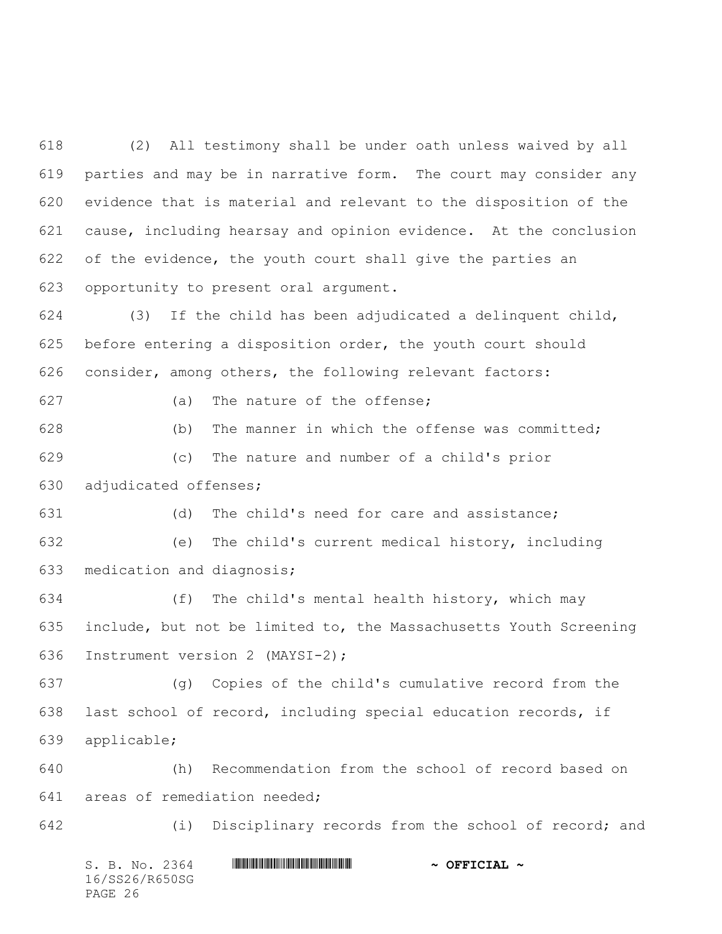(2) All testimony shall be under oath unless waived by all parties and may be in narrative form. The court may consider any evidence that is material and relevant to the disposition of the cause, including hearsay and opinion evidence. At the conclusion of the evidence, the youth court shall give the parties an opportunity to present oral argument.

 (3) If the child has been adjudicated a delinquent child, before entering a disposition order, the youth court should consider, among others, the following relevant factors:

(a) The nature of the offense;

 (b) The manner in which the offense was committed; (c) The nature and number of a child's prior adjudicated offenses;

 (d) The child's need for care and assistance; (e) The child's current medical history, including

medication and diagnosis;

 (f) The child's mental health history, which may include, but not be limited to, the Massachusetts Youth Screening Instrument version 2 (MAYSI-2);

 (g) Copies of the child's cumulative record from the last school of record, including special education records, if applicable;

 (h) Recommendation from the school of record based on areas of remediation needed;

(i) Disciplinary records from the school of record; and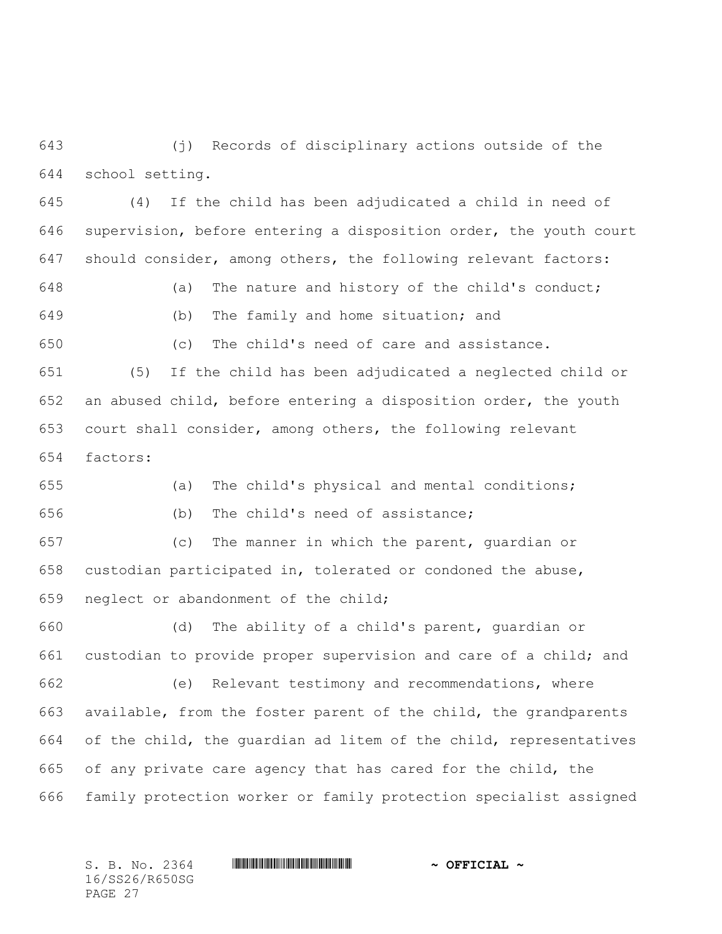(j) Records of disciplinary actions outside of the school setting.

 (4) If the child has been adjudicated a child in need of supervision, before entering a disposition order, the youth court should consider, among others, the following relevant factors:

 (a) The nature and history of the child's conduct; (b) The family and home situation; and

(c) The child's need of care and assistance.

 (5) If the child has been adjudicated a neglected child or an abused child, before entering a disposition order, the youth court shall consider, among others, the following relevant factors:

 (a) The child's physical and mental conditions; (b) The child's need of assistance;

 (c) The manner in which the parent, guardian or custodian participated in, tolerated or condoned the abuse, neglect or abandonment of the child;

 (d) The ability of a child's parent, guardian or custodian to provide proper supervision and care of a child; and (e) Relevant testimony and recommendations, where available, from the foster parent of the child, the grandparents of the child, the guardian ad litem of the child, representatives of any private care agency that has cared for the child, the family protection worker or family protection specialist assigned

16/SS26/R650SG PAGE 27

## S. B. No. 2364 **\*\*\* WILL AND \*\*\*\*** \*\*\* \*\*\* \*\*\* \*\*\* \*\*  $\sim$  **OFFICIAL** \*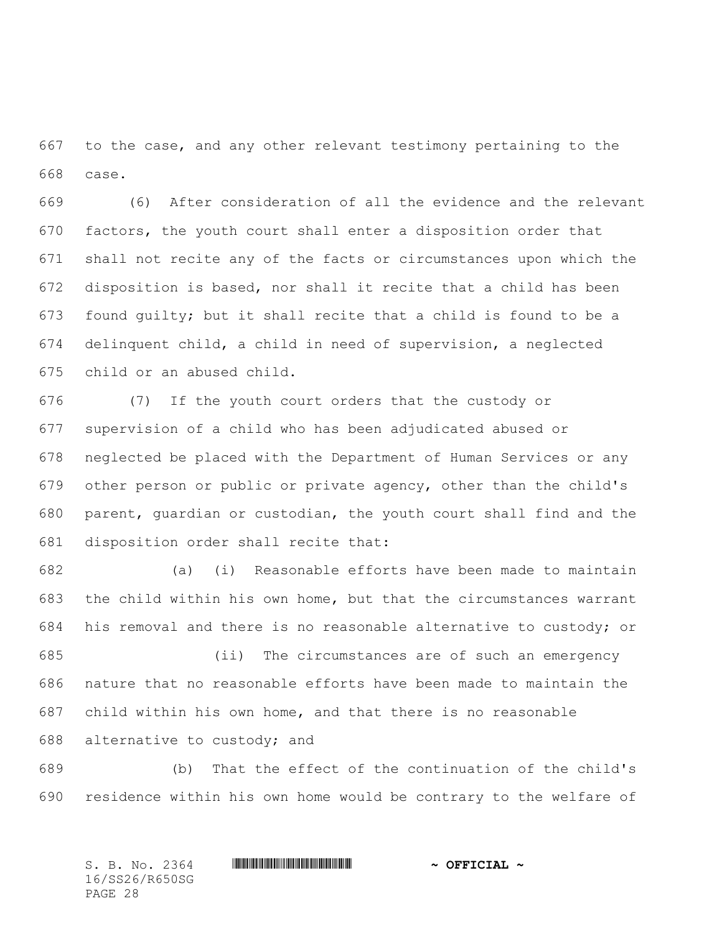to the case, and any other relevant testimony pertaining to the case.

 (6) After consideration of all the evidence and the relevant factors, the youth court shall enter a disposition order that shall not recite any of the facts or circumstances upon which the disposition is based, nor shall it recite that a child has been found guilty; but it shall recite that a child is found to be a delinquent child, a child in need of supervision, a neglected child or an abused child.

 (7) If the youth court orders that the custody or supervision of a child who has been adjudicated abused or neglected be placed with the Department of Human Services or any other person or public or private agency, other than the child's parent, guardian or custodian, the youth court shall find and the disposition order shall recite that:

 (a) (i) Reasonable efforts have been made to maintain the child within his own home, but that the circumstances warrant his removal and there is no reasonable alternative to custody; or

 (ii) The circumstances are of such an emergency nature that no reasonable efforts have been made to maintain the child within his own home, and that there is no reasonable alternative to custody; and

 (b) That the effect of the continuation of the child's residence within his own home would be contrary to the welfare of

S. B. No. 2364 **\*\*\* WILL AND \*\*\*\*** \*\*\* \*\*\* \*\*\* \*\*\* \*\*  $\sim$  **OFFICIAL** \* 16/SS26/R650SG PAGE 28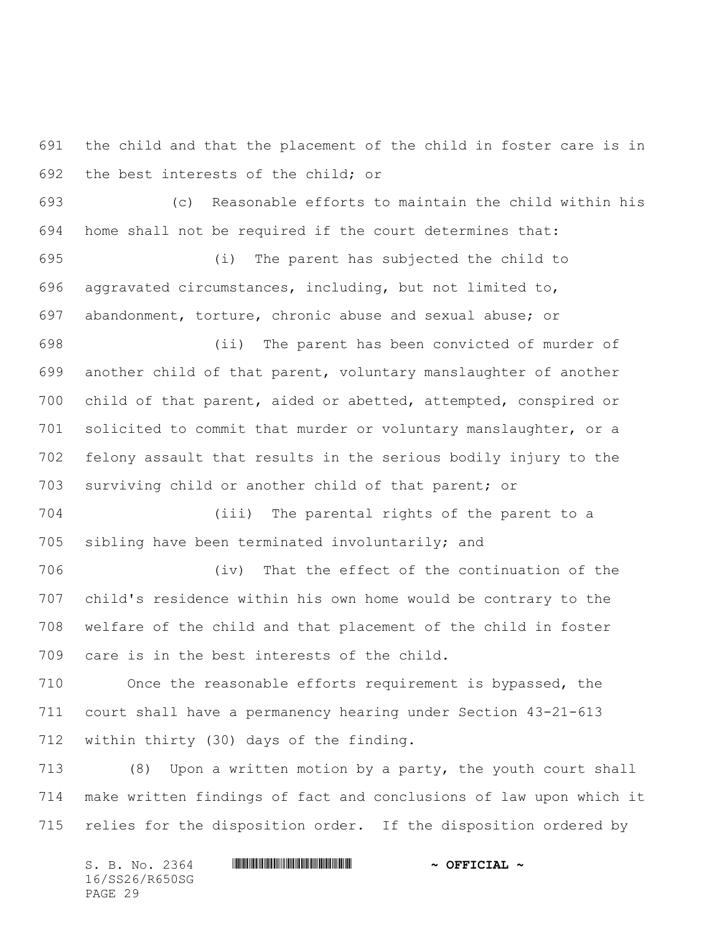the child and that the placement of the child in foster care is in the best interests of the child; or

 (c) Reasonable efforts to maintain the child within his home shall not be required if the court determines that:

 (i) The parent has subjected the child to aggravated circumstances, including, but not limited to, abandonment, torture, chronic abuse and sexual abuse; or

 (ii) The parent has been convicted of murder of another child of that parent, voluntary manslaughter of another child of that parent, aided or abetted, attempted, conspired or solicited to commit that murder or voluntary manslaughter, or a felony assault that results in the serious bodily injury to the surviving child or another child of that parent; or

 (iii) The parental rights of the parent to a sibling have been terminated involuntarily; and

 (iv) That the effect of the continuation of the child's residence within his own home would be contrary to the welfare of the child and that placement of the child in foster care is in the best interests of the child.

 Once the reasonable efforts requirement is bypassed, the court shall have a permanency hearing under Section 43-21-613 within thirty (30) days of the finding.

 (8) Upon a written motion by a party, the youth court shall make written findings of fact and conclusions of law upon which it relies for the disposition order. If the disposition ordered by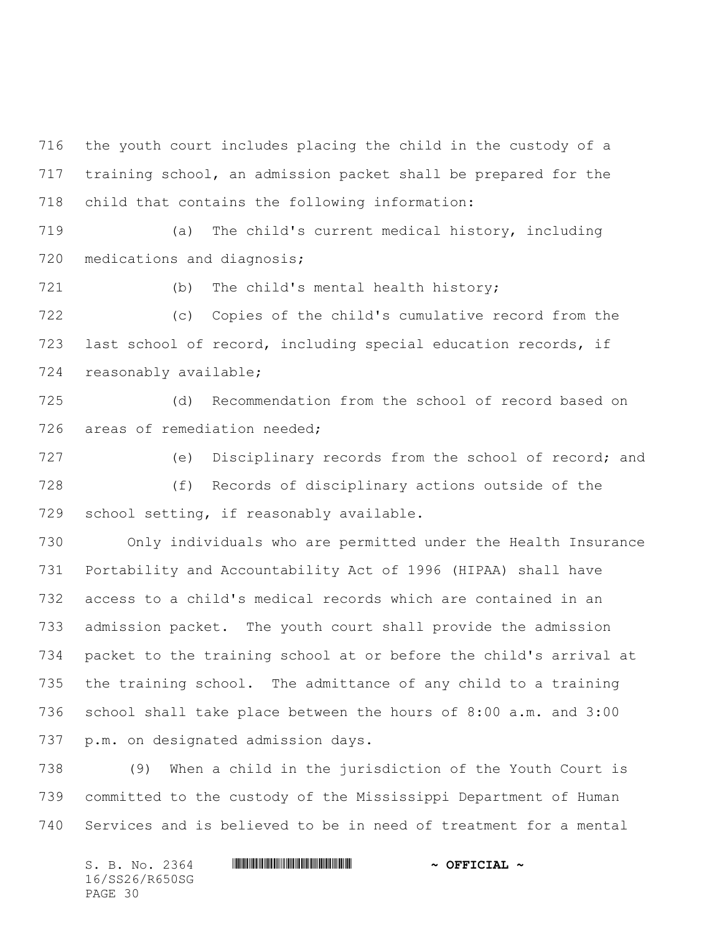the youth court includes placing the child in the custody of a training school, an admission packet shall be prepared for the child that contains the following information:

 (a) The child's current medical history, including 720 medications and diagnosis;

(b) The child's mental health history;

 (c) Copies of the child's cumulative record from the last school of record, including special education records, if reasonably available;

 (d) Recommendation from the school of record based on areas of remediation needed;

 (e) Disciplinary records from the school of record; and (f) Records of disciplinary actions outside of the school setting, if reasonably available.

 Only individuals who are permitted under the Health Insurance Portability and Accountability Act of 1996 (HIPAA) shall have access to a child's medical records which are contained in an admission packet. The youth court shall provide the admission packet to the training school at or before the child's arrival at the training school. The admittance of any child to a training school shall take place between the hours of 8:00 a.m. and 3:00 p.m. on designated admission days.

 (9) When a child in the jurisdiction of the Youth Court is committed to the custody of the Mississippi Department of Human Services and is believed to be in need of treatment for a mental